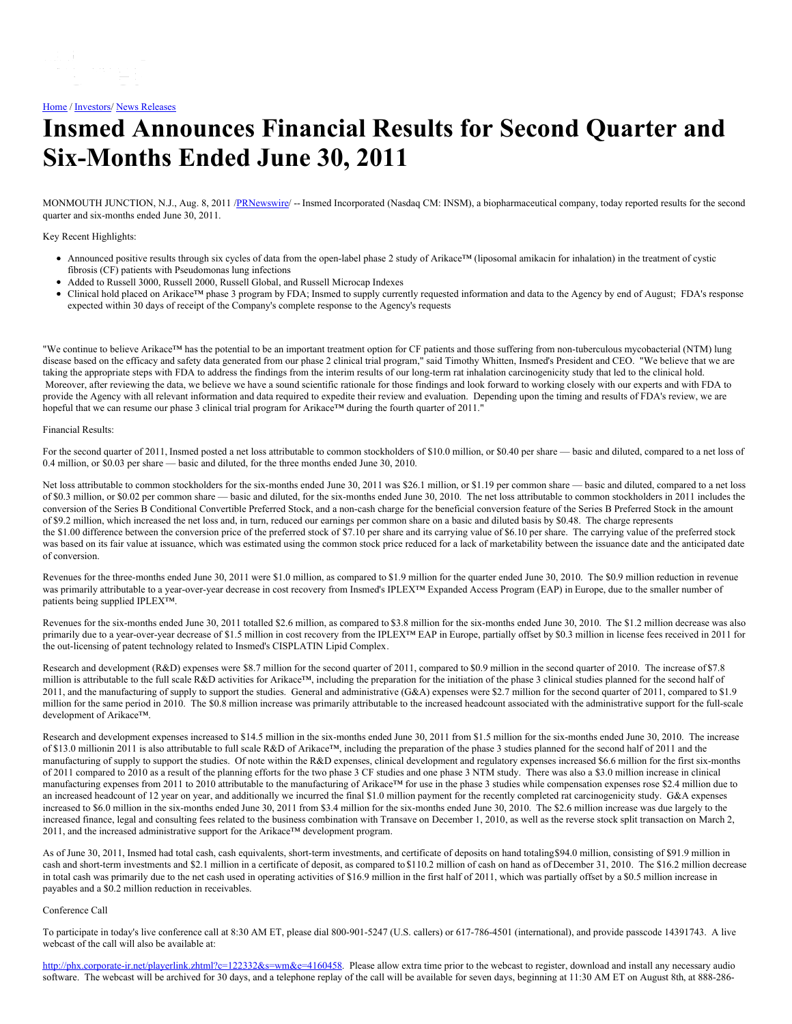## [Home](https://insmed.com/) / [Investors](https://investor.insmed.com/index)/ News [Releases](https://investor.insmed.com/releases)

# **Insmed Announces Financial Results for Second Quarter and Six-Months Ended June 30, 2011**

MONMOUTH JUNCTION, N.J., Aug. 8, 2011 [/PRNewswire](http://www.prnewswire.com/)/ -- Insmed Incorporated (Nasdaq CM: INSM), a biopharmaceutical company, today reported results for the second quarter and six-months ended June 30, 2011.

Key Recent Highlights:

- Announced positive results through six cycles of data from the open-label phase 2 study of Arikace™ (liposomal amikacin for inhalation) in the treatment of cystic fibrosis (CF) patients with Pseudomonas lung infections
- Added to Russell 3000, Russell 2000, Russell Global, and Russell Microcap Indexes
- Clinical hold placed on Arikace™ phase 3 program by FDA; Insmed to supply currently requested information and data to the Agency by end of August; FDA's response expected within 30 days of receipt of the Company's complete response to the Agency's requests

"We continue to believe Arikace™ has the potential to be an important treatment option for CF patients and those suffering from non-tuberculous mycobacterial (NTM) lung disease based on the efficacy and safety data generated from our phase 2 clinical trial program," said Timothy Whitten, Insmed's President and CEO. "We believe that we are taking the appropriate steps with FDA to address the findings from the interim results of our long-term rat inhalation carcinogenicity study that led to the clinical hold. Moreover, after reviewing the data, we believe we have a sound scientific rationale for those findings and look forward to working closely with our experts and with FDA to provide the Agency with all relevant information and data required to expedite their review and evaluation. Depending upon the timing and results of FDA's review, we are hopeful that we can resume our phase 3 clinical trial program for Arikace™ during the fourth quarter of 2011."

#### Financial Results:

For the second quarter of 2011, Insmed posted a net loss attributable to common stockholders of \$10.0 million, or \$0.40 per share — basic and diluted, compared to a net loss of 0.4 million, or \$0.03 per share — basic and diluted, for the three months ended June 30, 2010.

Net loss attributable to common stockholders for the six-months ended June 30, 2011 was \$26.1 million, or \$1.19 per common share — basic and diluted, compared to a net loss of \$0.3 million, or \$0.02 per common share — basic and diluted, for the six-months ended June 30, 2010. The net loss attributable to common stockholders in 2011 includes the conversion of the Series B Conditional Convertible Preferred Stock, and a non-cash charge for the beneficial conversion feature of the Series B Preferred Stock in the amount of \$9.2 million, which increased the net loss and, in turn, reduced our earnings per common share on a basic and diluted basis by \$0.48. The charge represents the \$1.00 difference between the conversion price of the preferred stock of \$7.10 per share and its carrying value of \$6.10 per share. The carrying value of the preferred stock was based on its fair value at issuance, which was estimated using the common stock price reduced for a lack of marketability between the issuance date and the anticipated date of conversion.

Revenues for the three-months ended June 30, 2011 were \$1.0 million, as compared to \$1.9 million for the quarter ended June 30, 2010. The \$0.9 million reduction in revenue was primarily attributable to a year-over-year decrease in cost recovery from Insmed's IPLEX™ Expanded Access Program (EAP) in Europe, due to the smaller number of patients being supplied IPLEX™.

Revenues for the six-months ended June 30, 2011 totalled \$2.6 million, as compared to \$3.8 million for the six-months ended June 30, 2010. The \$1.2 million decrease was also primarily due to a year-over-year decrease of \$1.5 million in cost recovery from the IPLEX™ EAP in Europe, partially offset by \$0.3 million in license fees received in 2011 for the out-licensing of patent technology related to Insmed's CISPLATIN Lipid Complex.

Research and development (R&D) expenses were \$8.7 million for the second quarter of 2011, compared to \$0.9 million in the second quarter of 2010. The increase of \$7.8 million is attributable to the full scale R&D activities for Arikace™, including the preparation for the initiation of the phase 3 clinical studies planned for the second half of 2011, and the manufacturing of supply to support the studies. General and administrative (G&A) expenses were \$2.7 million for the second quarter of 2011, compared to \$1.9 million for the same period in 2010. The \$0.8 million increase was primarily attributable to the increased headcount associated with the administrative support for the full-scale development of Arikace™.

Research and development expenses increased to \$14.5 million in the six-months ended June 30, 2011 from \$1.5 million for the six-months ended June 30, 2010. The increase of \$13.0 millionin 2011 is also attributable to full scale R&D of Arikace™, including the preparation of the phase 3 studies planned for the second half of 2011 and the manufacturing of supply to support the studies. Of note within the R&D expenses, clinical development and regulatory expenses increased \$6.6 million for the first six-months of 2011 compared to 2010 as a result of the planning efforts for the two phase 3 CF studies and one phase 3 NTM study. There was also a \$3.0 million increase in clinical manufacturing expenses from 2011 to 2010 attributable to the manufacturing of Arikace™ for use in the phase 3 studies while compensation expenses rose \$2.4 million due to an increased headcount of 12 year on year, and additionally we incurred the final \$1.0 million payment for the recently completed rat carcinogenicity study. G&A expenses increased to \$6.0 million in the six-months ended June 30, 2011 from \$3.4 million for the six-months ended June 30, 2010. The \$2.6 million increase was due largely to the increased finance, legal and consulting fees related to the business combination with Transave on December 1, 2010, as well as the reverse stock split transaction on March 2, 2011, and the increased administrative support for the Arikace™ development program.

As of June 30, 2011, Insmed had total cash, cash equivalents, short-term investments, and certificate of deposits on hand totaling\$94.0 million, consisting of \$91.9 million in cash and short-term investments and \$2.1 million in a certificate of deposit, as compared to \$110.2 million of cash on hand as of December 31, 2010. The \$16.2 million decrease in total cash was primarily due to the net cash used in operating activities of \$16.9 million in the first half of 2011, which was partially offset by a \$0.5 million increase in payables and a \$0.2 million reduction in receivables.

### Conference Call

To participate in today's live conference call at 8:30 AM ET, please dial 800-901-5247 (U.S. callers) or 617-786-4501 (international), and provide passcode 14391743. A live webcast of the call will also be available at:

<http://phx.corporate-ir.net/playerlink.zhtml?c=122332&s=wm&e=4160458>. Please allow extra time prior to the webcast to register, download and install any necessary audio software. The webcast will be archived for 30 days, and a telephone replay of the call will be available for seven days, beginning at 11:30 AM ET on August 8th, at 888-286-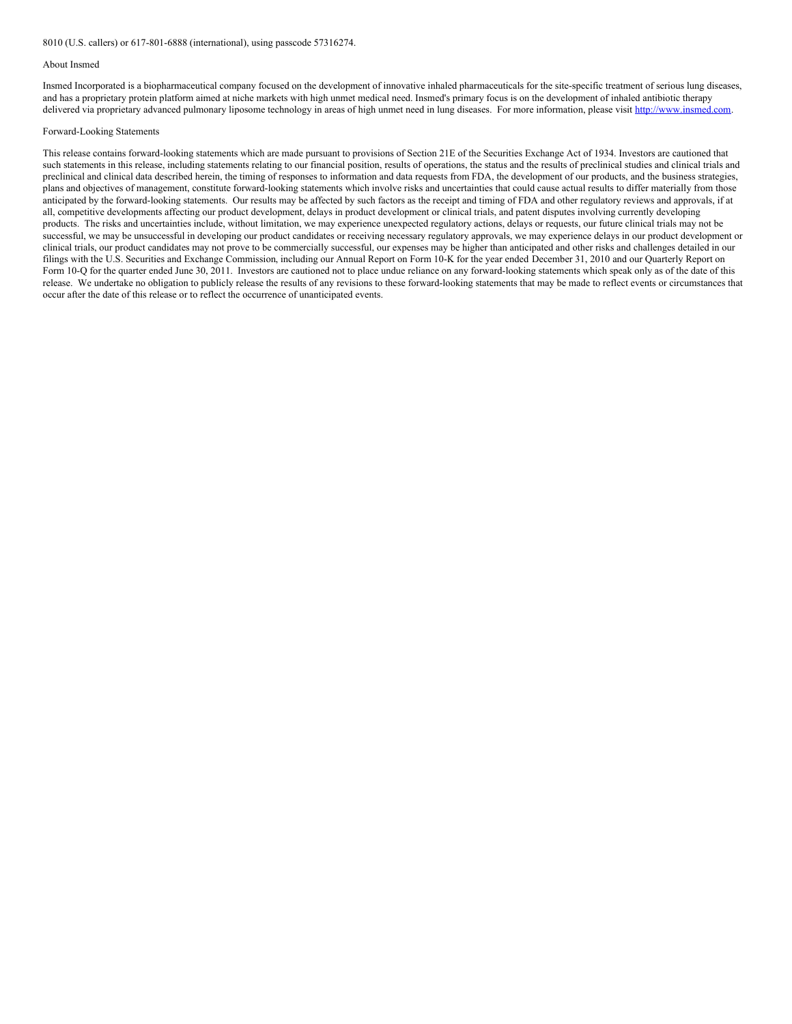#### About Insmed

Insmed Incorporated is a biopharmaceutical company focused on the development of innovative inhaled pharmaceuticals for the site-specific treatment of serious lung diseases, and has a proprietary protein platform aimed at niche markets with high unmet medical need. Insmed's primary focus is on the development of inhaled antibiotic therapy delivered via proprietary advanced pulmonary liposome technology in areas of high unmet need in lung diseases. For more information, please visit [http://www.insmed.com](http://www.insmed.com/).

#### Forward-Looking Statements

This release contains forward-looking statements which are made pursuant to provisions of Section 21E of the Securities Exchange Act of 1934. Investors are cautioned that such statements in this release, including statements relating to our financial position, results of operations, the status and the results of preclinical studies and clinical trials and preclinical and clinical data described herein, the timing of responses to information and data requests from FDA, the development of our products, and the business strategies, plans and objectives of management, constitute forward-looking statements which involve risks and uncertainties that could cause actual results to differ materially from those anticipated by the forward-looking statements. Our results may be affected by such factors as the receipt and timing of FDA and other regulatory reviews and approvals, if at all, competitive developments affecting our product development, delays in product development or clinical trials, and patent disputes involving currently developing products. The risks and uncertainties include, without limitation, we may experience unexpected regulatory actions, delays or requests, our future clinical trials may not be successful, we may be unsuccessful in developing our product candidates or receiving necessary regulatory approvals, we may experience delays in our product development or clinical trials, our product candidates may not prove to be commercially successful, our expenses may be higher than anticipated and other risks and challenges detailed in our filings with the U.S. Securities and Exchange Commission, including our Annual Report on Form 10-K for the year ended December 31, 2010 and our Quarterly Report on Form 10-Q for the quarter ended June 30, 2011. Investors are cautioned not to place undue reliance on any forward-looking statements which speak only as of the date of this release. We undertake no obligation to publicly release the results of any revisions to these forward-looking statements that may be made to reflect events or circumstances that occur after the date of this release or to reflect the occurrence of unanticipated events.